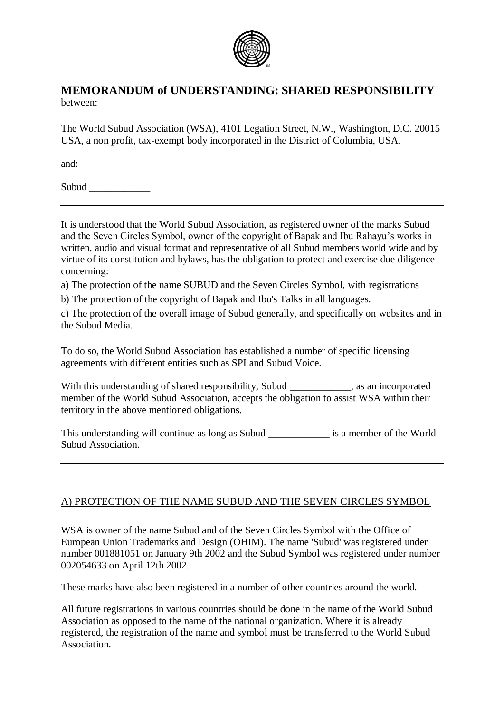

# **MEMORANDUM of UNDERSTANDING: SHARED RESPONSIBILITY** between:

The World Subud Association (WSA), 4101 Legation Street, N.W., Washington, D.C. 20015 USA, a non profit, tax-exempt body incorporated in the District of Columbia, USA.

and:

Subud  $\Box$ 

It is understood that the World Subud Association, as registered owner of the marks Subud and the Seven Circles Symbol, owner of the copyright of Bapak and Ibu Rahayu's works in written, audio and visual format and representative of all Subud members world wide and by virtue of its constitution and bylaws, has the obligation to protect and exercise due diligence concerning:

a) The protection of the name SUBUD and the Seven Circles Symbol, with registrations

b) The protection of the copyright of Bapak and Ibu's Talks in all languages.

c) The protection of the overall image of Subud generally, and specifically on websites and in the Subud Media.

To do so, the World Subud Association has established a number of specific licensing agreements with different entities such as SPI and Subud Voice.

With this understanding of shared responsibility, Subud . as an incorporated member of the World Subud Association, accepts the obligation to assist WSA within their territory in the above mentioned obligations.

This understanding will continue as long as Subud is a member of the World Subud Association.

# A) PROTECTION OF THE NAME SUBUD AND THE SEVEN CIRCLES SYMBOL

WSA is owner of the name Subud and of the Seven Circles Symbol with the Office of European Union Trademarks and Design (OHIM). The name 'Subud' was registered under number 001881051 on January 9th 2002 and the Subud Symbol was registered under number 002054633 on April 12th 2002.

These marks have also been registered in a number of other countries around the world.

All future registrations in various countries should be done in the name of the World Subud Association as opposed to the name of the national organization. Where it is already registered, the registration of the name and symbol must be transferred to the World Subud Association.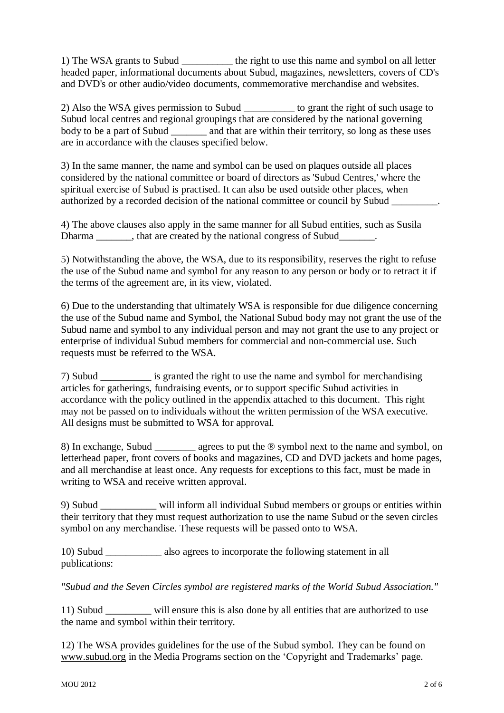1) The WSA grants to Subud \_\_\_\_\_\_\_\_\_\_ the right to use this name and symbol on all letter headed paper, informational documents about Subud, magazines, newsletters, covers of CD's and DVD's or other audio/video documents, commemorative merchandise and websites.

2) Also the WSA gives permission to Subud to grant the right of such usage to Subud local centres and regional groupings that are considered by the national governing body to be a part of Subud \_\_\_\_\_\_\_\_\_ and that are within their territory, so long as these uses are in accordance with the clauses specified below.

3) In the same manner, the name and symbol can be used on plaques outside all places considered by the national committee or board of directors as 'Subud Centres,' where the spiritual exercise of Subud is practised. It can also be used outside other places, when authorized by a recorded decision of the national committee or council by Subud

4) The above clauses also apply in the same manner for all Subud entities, such as Susila Dharma \_\_\_\_\_\_\_, that are created by the national congress of Subud

5) Notwithstanding the above, the WSA, due to its responsibility, reserves the right to refuse the use of the Subud name and symbol for any reason to any person or body or to retract it if the terms of the agreement are, in its view, violated.

6) Due to the understanding that ultimately WSA is responsible for due diligence concerning the use of the Subud name and Symbol, the National Subud body may not grant the use of the Subud name and symbol to any individual person and may not grant the use to any project or enterprise of individual Subud members for commercial and non-commercial use. Such requests must be referred to the WSA.

7) Subud is granted the right to use the name and symbol for merchandising articles for gatherings, fundraising events, or to support specific Subud activities in accordance with the policy outlined in the appendix attached to this document. This right may not be passed on to individuals without the written permission of the WSA executive. All designs must be submitted to WSA for approval.

8) In exchange, Subud agrees to put the ® symbol next to the name and symbol, on letterhead paper, front covers of books and magazines, CD and DVD jackets and home pages, and all merchandise at least once. Any requests for exceptions to this fact, must be made in writing to WSA and receive written approval.

9) Subud \_\_\_\_\_\_\_\_\_\_\_ will inform all individual Subud members or groups or entities within their territory that they must request authorization to use the name Subud or the seven circles symbol on any merchandise. These requests will be passed onto to WSA.

10) Subud \_\_\_\_\_\_\_\_\_\_\_ also agrees to incorporate the following statement in all publications:

*"Subud and the Seven Circles symbol are registered marks of the World Subud Association."*

11) Subud \_\_\_\_\_\_\_\_\_ will ensure this is also done by all entities that are authorized to use the name and symbol within their territory.

12) The WSA provides guidelines for the use of the Subud symbol. They can be found on [www.subud.org](http://www.subud.org/) in the Media Programs section on the 'Copyright and Trademarks' page.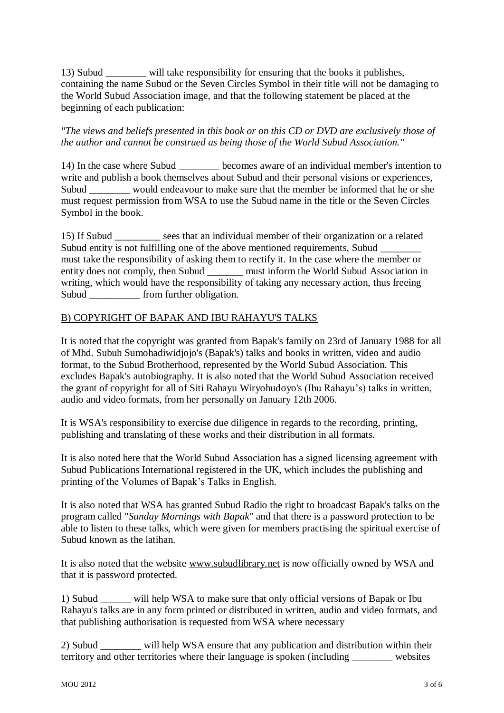13) Subud \_\_\_\_\_\_\_\_ will take responsibility for ensuring that the books it publishes, containing the name Subud or the Seven Circles Symbol in their title will not be damaging to the World Subud Association image, and that the following statement be placed at the beginning of each publication:

*"The views and beliefs presented in this book or on this CD or DVD are exclusively those of the author and cannot be construed as being those of the World Subud Association."*

14) In the case where Subud \_\_\_\_\_\_\_\_ becomes aware of an individual member's intention to write and publish a book themselves about Subud and their personal visions or experiences, Subud would endeavour to make sure that the member be informed that he or she must request permission from WSA to use the Subud name in the title or the Seven Circles Symbol in the book.

15) If Subud \_\_\_\_\_\_\_\_\_ sees that an individual member of their organization or a related Subud entity is not fulfilling one of the above mentioned requirements, Subud \_ must take the responsibility of asking them to rectify it. In the case where the member or entity does not comply, then Subud \_\_\_\_\_\_\_ must inform the World Subud Association in writing, which would have the responsibility of taking any necessary action, thus freeing Subud from further obligation.

#### B) COPYRIGHT OF BAPAK AND IBU RAHAYU'S TALKS

It is noted that the copyright was granted from Bapak's family on 23rd of January 1988 for all of Mhd. Subuh Sumohadiwidjojo's (Bapak's) talks and books in written, video and audio format, to the Subud Brotherhood, represented by the World Subud Association. This excludes Bapak's autobiography. It is also noted that the World Subud Association received the grant of copyright for all of Siti Rahayu Wiryohudoyo's (Ibu Rahayu's) talks in written, audio and video formats, from her personally on January 12th 2006.

It is WSA's responsibility to exercise due diligence in regards to the recording, printing, publishing and translating of these works and their distribution in all formats.

It is also noted here that the World Subud Association has a signed licensing agreement with Subud Publications International registered in the UK, which includes the publishing and printing of the Volumes of Bapak's Talks in English.

It is also noted that WSA has granted Subud Radio the right to broadcast Bapak's talks on the program called "*Sunday Mornings with Bapak*" and that there is a password protection to be able to listen to these talks, which were given for members practising the spiritual exercise of Subud known as the latihan.

It is also noted that the website [www.subudlibrary.net](http://www.subudlibrary.net/) is now officially owned by WSA and that it is password protected.

1) Subud \_\_\_\_\_\_ will help WSA to make sure that only official versions of Bapak or Ibu Rahayu's talks are in any form printed or distributed in written, audio and video formats, and that publishing authorisation is requested from WSA where necessary

2) Subud will help WSA ensure that any publication and distribution within their territory and other territories where their language is spoken (including \_\_\_\_\_\_\_\_ websites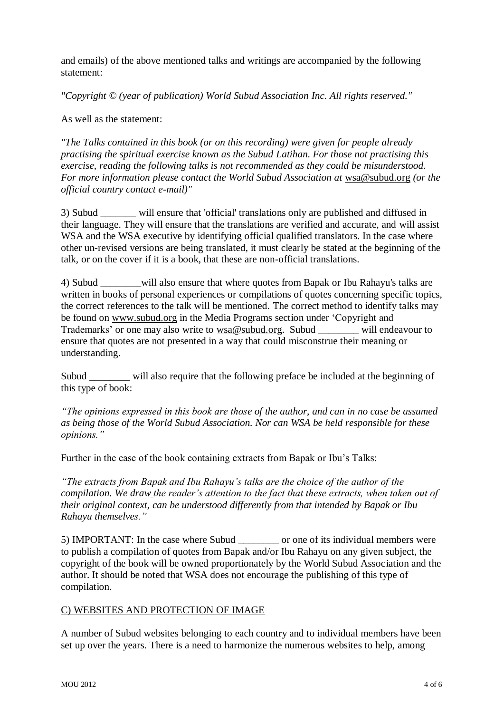and emails) of the above mentioned talks and writings are accompanied by the following statement:

*"Copyright © (year of publication) World Subud Association Inc. All rights reserved."*

As well as the statement:

*"The Talks contained in this book (or on this recording) were given for people already practising the spiritual exercise known as the Subud Latihan. For those not practising this exercise, reading the following talks is not recommended as they could be misunderstood. For more information please contact the World Subud Association at [wsa@subud.org](mailto:isc@subud.org) (or the official country contact e-mail)"*

3) Subud \_\_\_\_\_\_\_ will ensure that 'official' translations only are published and diffused in their language. They will ensure that the translations are verified and accurate, and will assist WSA and the WSA executive by identifying official qualified translators. In the case where other un-revised versions are being translated, it must clearly be stated at the beginning of the talk, or on the cover if it is a book, that these are non-official translations.

4) Subud will also ensure that where quotes from Bapak or Ibu Rahayu's talks are written in books of personal experiences or compilations of quotes concerning specific topics, the correct references to the talk will be mentioned. The correct method to identify talks may be found on [www.subud.org](http://www.subud.org/) in the Media Programs section under 'Copyright and Trademarks' or one may also write to [wsa@subud.org.](mailto:wsa@subud.org) Subud will endeavour to ensure that quotes are not presented in a way that could misconstrue their meaning or understanding.

Subud will also require that the following preface be included at the beginning of this type of book:

*"The opinions expressed in this book are those of the author, and can in no case be assumed as being those of the World Subud Association. Nor can WSA be held responsible for these opinions."*

Further in the case of the book containing extracts from Bapak or Ibu's Talks:

*"The extracts from Bapak and Ibu Rahayu's talks are the choice of the author of the compilation. We draw the reader's attention to the fact that these extracts, when taken out of their original context, can be understood differently from that intended by Bapak or Ibu Rahayu themselves."*

5) IMPORTANT: In the case where Subud \_\_\_\_\_\_\_\_ or one of its individual members were to publish a compilation of quotes from Bapak and/or Ibu Rahayu on any given subject, the copyright of the book will be owned proportionately by the World Subud Association and the author. It should be noted that WSA does not encourage the publishing of this type of compilation.

# C) WEBSITES AND PROTECTION OF IMAGE

A number of Subud websites belonging to each country and to individual members have been set up over the years. There is a need to harmonize the numerous websites to help, among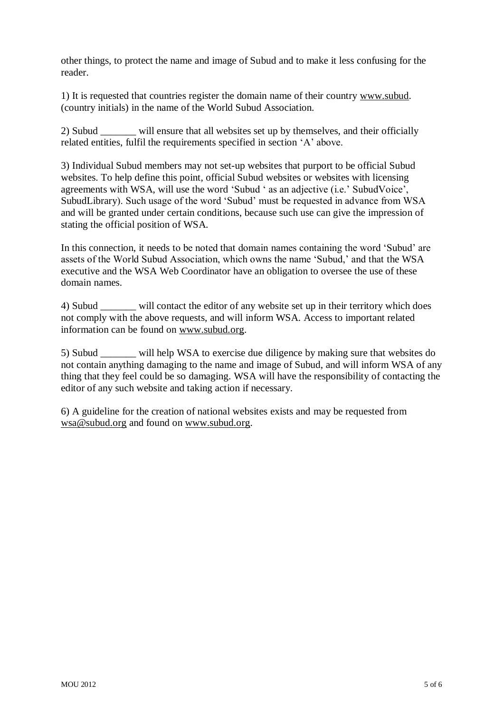other things, to protect the name and image of Subud and to make it less confusing for the reader.

1) It is requested that countries register the domain name of their country [www.subud.](http://www.subud/) (country initials) in the name of the World Subud Association.

2) Subud will ensure that all websites set up by themselves, and their officially related entities, fulfil the requirements specified in section 'A' above.

3) Individual Subud members may not set-up websites that purport to be official Subud websites. To help define this point, official Subud websites or websites with licensing agreements with WSA, will use the word 'Subud ' as an adjective (i.e.' SubudVoice', SubudLibrary). Such usage of the word 'Subud' must be requested in advance from WSA and will be granted under certain conditions, because such use can give the impression of stating the official position of WSA.

In this connection, it needs to be noted that domain names containing the word 'Subud' are assets of the World Subud Association, which owns the name 'Subud,' and that the WSA executive and the WSA Web Coordinator have an obligation to oversee the use of these domain names.

4) Subud will contact the editor of any website set up in their territory which does not comply with the above requests, and will inform WSA. Access to important related information can be found on [www.subud.org.](http://www.subud.org/)

5) Subud \_\_\_\_\_\_\_ will help WSA to exercise due diligence by making sure that websites do not contain anything damaging to the name and image of Subud, and will inform WSA of any thing that they feel could be so damaging. WSA will have the responsibility of contacting the editor of any such website and taking action if necessary.

6) A guideline for the creation of national websites exists and may be requested from [wsa@subud.org](mailto:wsa@subud.org) and found on [www.subud.org.](http://www.subud.org/)